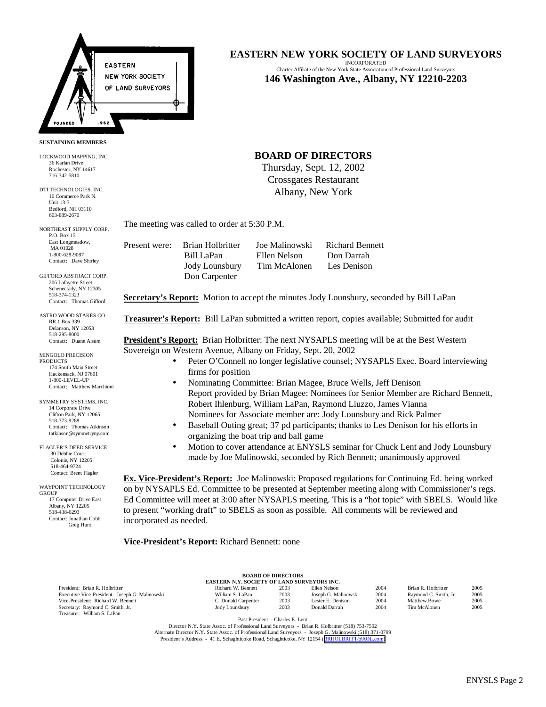

**SUSTAINING MEMBERS**

LOCKWOOD MAPPING, INC. 36 Karlan Drive Rochester, NY 14617 716-342-5810

DTI TECHNOLOGIES, INC. 10 Commerce Park N. Unit 13-3 Bedford, NH 03110 603-889-2670

NORTHEAST SUPPLY CORP. P.O. Box 15 East Longmeadow, MA 01028 1-800-628-9087 Contact: Dave Shirley

GIFFORD ABSTRACT CORP. 206 Lafayette Street Schenectady, NY 12305 518-374-1323 Contact: Thomas Gifford

ASTRO WOOD STAKES CO. RR 1 Box 339 Delanson, NY 12053 518-295-8000 Contact: Duane Alsum

MINGOLO PRECISION **PRODUCTS** 174 South Main Street Hackensack, NJ 07601 1-800-LEVEL-UP Contact: Matthew Marchion

SYMMETRY SYSTEMS, INC. 14 Corporate Drive Clifton Park, NY 12065 518-373-9288 Contact: Thomas Atkinson tatkinson@symmetryny.com

FLAGLER'S DEED SERVICE 30 Debbie Court Colonie, NY 12205 518-464-9724 Contact: Brent Flagler

WAYPOINT TECHNOLOGY GROUP 17 Computer Drive East Albany, NY 12205 518-438-6293 Contact: Jonathan Cobb Greg Hunt

# **EASTERN NEW YORK SOCIETY OF LAND SURVEYORS**

INCORPORATED Charter Affiliate of the New York State Association of Professional Land Surveyors **146 Washington Ave., Albany, NY 12210-2203**

## **BOARD OF DIRECTORS**

Thursday, Sept. 12, 2002 Crossgates Restaurant Albany, New York

The meeting was called to order at 5:30 P.M.

Present were: Brian Holbritter Joe Malinowski Richard Bennett Bill LaPan Ellen Nelson Don Darrah Jody Lounsbury Tim McAlonen Les Denison Don Carpenter

**Secretary's Report:** Motion to accept the minutes Jody Lounsbury, seconded by Bill LaPan

**Treasurer's Report:** Bill LaPan submitted a written report, copies available; Submitted for audit

**President's Report:** Brian Holbritter: The next NYSAPLS meeting will be at the Best Western Sovereign on Western Avenue, Albany on Friday, Sept. 20, 2002

- Peter O'Connell no longer legislative counsel; NYSAPLS Exec. Board interviewing firms for position
- Nominating Committee: Brian Magee, Bruce Wells, Jeff Denison Report provided by Brian Magee: Nominees for Senior Member are Richard Bennett, Robert Ihlenburg, William LaPan, Raymond Liuzzo, James Vianna Nominees for Associate member are: Jody Lounsbury and Rick Palmer
- Baseball Outing great; 37 pd participants; thanks to Les Denison for his efforts in organizing the boat trip and ball game
- Motion to cover attendance at ENYSLS seminar for Chuck Lent and Jody Lounsbury made by Joe Malinowski, seconded by Rich Bennett; unanimously approved

**Ex. Vice-President's Report:** Joe Malinowski: Proposed regulations for Continuing Ed. being worked on by NYSAPLS Ed. Committee to be presented at September meeting along with Commissioner's regs. Ed Committee will meet at 3:00 after NYSAPLS meeting. This is a "hot topic" with SBELS. Would like to present "working draft" to SBELS as soon as possible. All comments will be reviewed and incorporated as needed.

**Vice-President's Report:** Richard Bennett: none

| <b>BOARD OF DIRECTORS</b>                          |                     |      |                      |      |                       |      |  |
|----------------------------------------------------|---------------------|------|----------------------|------|-----------------------|------|--|
| <b>EASTERN N.Y. SOCIETY OF LAND SURVEYORS INC.</b> |                     |      |                      |      |                       |      |  |
| President: Brian R. Holbritter                     | Richard W. Bennett  | 2003 | Ellen Nelson         | 2004 | Brian R. Holbritter   | 2005 |  |
| Executive Vice-President: Joseph G. Malinowski     | William S. LaPan    | 2003 | Joseph G. Malinowski | 2004 | Raymond C. Smith, Jr. | 2005 |  |
| Vice-President: Richard W. Bennett                 | C. Donald Carpenter | 2003 | Lester E. Denison    | 2004 | <b>Matthew Bowe</b>   | 2005 |  |
| Secretary: Raymond C. Smith, Jr.                   | Jody Lounsbury      | 2003 | Donald Darrah        | 2004 | Tim McAlonen          | 2005 |  |
| Treasurer: William S. LaPan                        |                     |      |                      |      |                       |      |  |

Past President - Charles E. Lent

Director N.Y. State Assoc. of Professional Land Surveyors - Brian R. Holbritter (518) 753-7592 Alternate Director N.Y. State Assoc. of Professional Land Surveyors - Joseph G. Malinowski (518) 371-0799 President's Address - 41 E. Schaghticoke Road, Schaghticoke, NY 12154 ([BRHOLBRITT@AOL.com\)](mailto:BRHOLBRITT@AOL.com)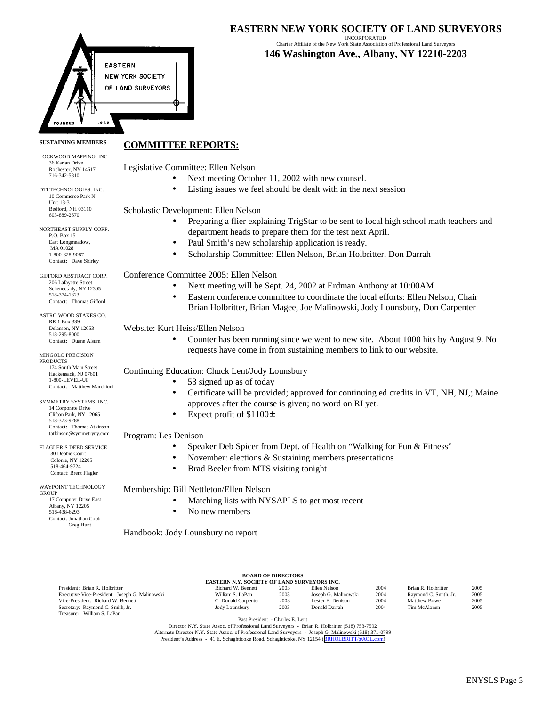

INCORPORATED Charter Affiliate of the New York State Association of Professional Land Surveyors **146 Washington Ave., Albany, NY 12210-2203**

#### **SUSTAINING MEMBERS COMMITTEE REPORTS:**

**EASTERN** 

**NEW YORK SOCIETY** OF LAND SURVEYORS

Legislative Committee: Ellen Nelson

- Next meeting October 11, 2002 with new counsel.
- Listing issues we feel should be dealt with in the next session

Scholastic Development: Ellen Nelson

- Preparing a flier explaining TrigStar to be sent to local high school math teachers and department heads to prepare them for the test next April.
- Paul Smith's new scholarship application is ready.
- Scholarship Committee: Ellen Nelson, Brian Holbritter, Don Darrah

Conference Committee 2005: Ellen Nelson

- Next meeting will be Sept. 24, 2002 at Erdman Anthony at 10:00AM
- Eastern conference committee to coordinate the local efforts: Ellen Nelson, Chair Brian Holbritter, Brian Magee, Joe Malinowski, Jody Lounsbury, Don Carpenter

Website: Kurt Heiss/Ellen Nelson

• Counter has been running since we went to new site. About 1000 hits by August 9. No requests have come in from sustaining members to link to our website.

### Continuing Education: Chuck Lent/Jody Lounsbury

- 53 signed up as of today
	- Certificate will be provided; approved for continuing ed credits in VT, NH, NJ,; Maine approves after the course is given; no word on RI yet.
- Expect profit of \$1100±

### Program: Les Denison

- Speaker Deb Spicer from Dept. of Health on "Walking for Fun & Fitness"
- November: elections  $&$  Sustaining members presentations
- Brad Beeler from MTS visiting tonight

### Membership: Bill Nettleton/Ellen Nelson

- Matching lists with NYSAPLS to get most recent
- No new members

Handbook: Jody Lounsbury no report

|                                                |                                                    | <b>DOAIND OF DIRECTORS</b> |                      |      |                       |      |
|------------------------------------------------|----------------------------------------------------|----------------------------|----------------------|------|-----------------------|------|
|                                                | <b>EASTERN N.Y. SOCIETY OF LAND SURVEYORS INC.</b> |                            |                      |      |                       |      |
| President: Brian R. Holbritter                 | Richard W. Bennett                                 | 2003                       | Ellen Nelson         | 2004 | Brian R. Holbritter   | 2005 |
| Executive Vice-President: Joseph G. Malinowski | William S. LaPan                                   | 2003                       | Joseph G. Malinowski | 2004 | Raymond C. Smith, Jr. | 2005 |
| Vice-President: Richard W. Bennett             | C. Donald Carpenter                                | 2003                       | Lester E. Denison    | 2004 | <b>Matthew Bowe</b>   | 2005 |
| Secretary: Raymond C. Smith, Jr.               | Jody Lounsbury                                     | 2003                       | Donald Darrah        | 2004 | Tim McAlonen          | 2005 |
| Treasurer: William S. LaPan                    |                                                    |                            |                      |      |                       |      |
|                                                |                                                    |                            |                      |      |                       |      |

**BOARD OF DIRECTORS**

Past President - Charles E. Lent

Director N.Y. State Assoc. of Professional Land Surveyors - Brian R. Holbritter (518) 753-7592 Alternate Director N.Y. State Assoc. of Professional Land Surveyors - Joseph G. Malinowski (518) 371-0799 President's Address - 41 E. Schaghticoke Road, Schaghticoke, NY 12154 ([BRHOLBRITT@AOL.com\)](mailto:BRHOLBRITT@AOL.com)

174 South Main Street Hackensack, NJ 07601 1-800-LEVEL-UP Contact: Matthew Marchion SYMMETRY SYSTEMS, INC. 14 Corporate Drive Clifton Park, NY 12065 518-373-9288 Contact: Thomas Atkinson tatkinson@symmetryny.com

LOCKWOOD MAPPING, INC. 36 Karlan Drive Rochester, NY 14617 716-342-5810 DTI TECHNOLOGIES, INC. 10 Commerce Park N. Unit 13-3 Bedford, NH 03110 603-889-2670 NORTHEAST SUPPLY CORP. P.O. Box 15 East Longmeadow, MA 01028 1-800-628-9087 Contact: Dave Shirley GIFFORD ABSTRACT CORP. 206 Lafayette Street Schenectady, NY 12305 518-374-1323 Contact: Thomas Gifford ASTRO WOOD STAKES CO. RR 1 Box 339 Delanson, NY 12053 518-295-8000 Contact: Duane Alsum MINGOLO PRECISION **PRODUCTS** 

WAYPOINT TECHNOLOGY GROUP 17 Computer Drive East Albany, NY 12205 518-438-6293 Contact: Jonathan Cobb Greg Hunt